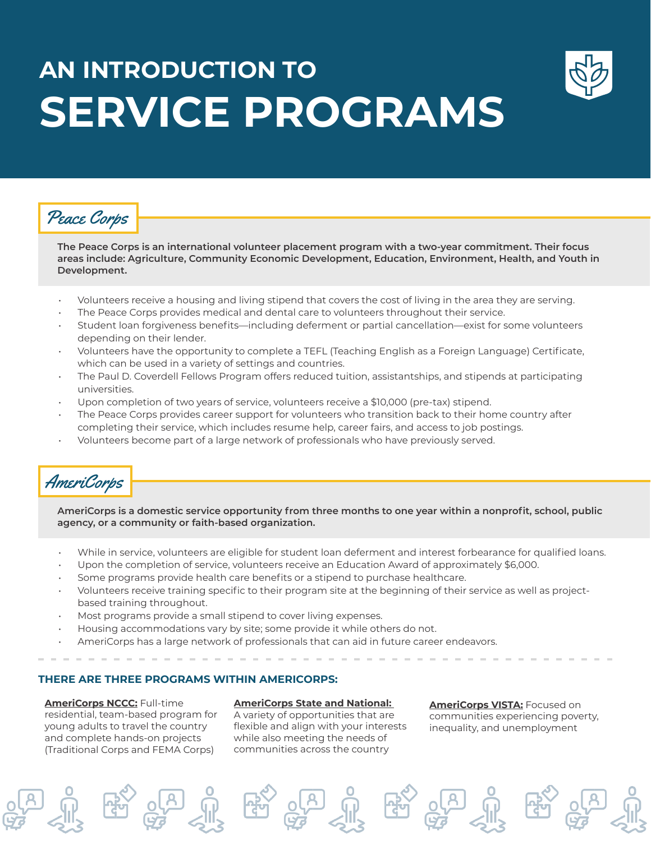# **AN INTRODUCTION TO SERVICE PROGRAMS**



### Peace Corps

**The Peace Corps is an international volunteer placement program with a two-year commitment. Their focus areas include: Agriculture, Community Economic Development, Education, Environment, Health, and Youth in Development.** 

- Volunteers receive a housing and living stipend that covers the cost of living in the area they are serving.
- The Peace Corps provides medical and dental care to volunteers throughout their service.
- Student loan forgiveness benefits—including deferment or partial cancellation—exist for some volunteers depending on their lender.
- Volunteers have the opportunity to complete a TEFL (Teaching English as a Foreign Language) Certificate, which can be used in a variety of settings and countries.
- The Paul D. Coverdell Fellows Program offers reduced tuition, assistantships, and stipends at participating universities.
- Upon completion of two years of service, volunteers receive a \$10,000 (pre-tax) stipend.
- The Peace Corps provides career support for volunteers who transition back to their home country after completing their service, which includes resume help, career fairs, and access to job postings.
- Volunteers become part of a large network of professionals who have previously served.

### AmeriCorps

**AmeriCorps is a domestic service opportunity from three months to one year within a nonprofit, school, public agency, or a community or faith-based organization.** 

- While in service, volunteers are eligible for student loan deferment and interest forbearance for qualified loans.
- Upon the completion of service, volunteers receive an Education Award of approximately \$6,000.
- Some programs provide health care benefits or a stipend to purchase healthcare.
- Volunteers receive training specific to their program site at the beginning of their service as well as projectbased training throughout.
- Most programs provide a small stipend to cover living expenses.
- Housing accommodations vary by site; some provide it while others do not.
- AmeriCorps has a large network of professionals that can aid in future career endeavors.

#### **THERE ARE THREE PROGRAMS WITHIN AMERICORPS:**

**AmeriCorps NCCC:** Full-time residential, team-based program for young adults to travel the country and complete hands-on projects (Traditional Corps and FEMA Corps)

#### **AmeriCorps State and National:**

A variety of opportunities that are flexible and align with your interests while also meeting the needs of communities across the country

**AmeriCorps VISTA:** Focused on communities experiencing poverty, inequality, and unemployment